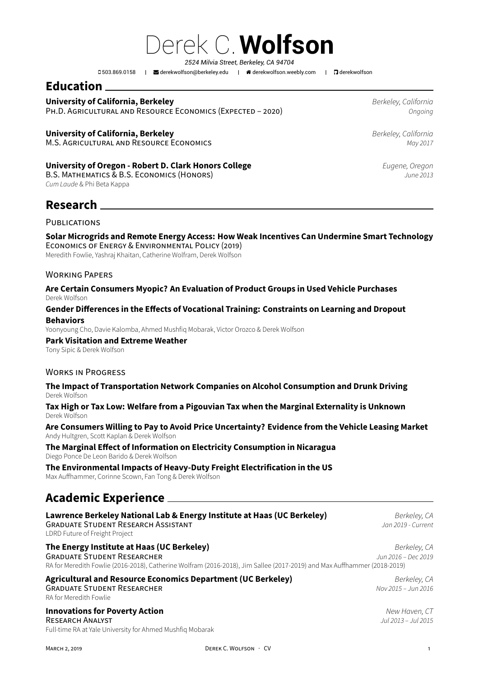Derek C.**Wolfson** *2524 Milvia Street, Berkeley, CA 94704*

503.869.0158 | derekwolfson@berkeley.edu | derekwolfson.weebly.com | derekwolfson

## **Education**

## **University of California, Berkeley** *Berkeley, California*

PH.D. AGRICULTURAL AND RES[OURCE ECONOMICS \(EX](mailto:derekwolfson@berkeley.edu)PEC[TED – 2020\)](http://derekwolfson.weebly.com) *Ongoing*

### **University of California, Berkeley** *Berkeley, California*

M.S. AGRICULTURAL AND RESOURCE ECONOMICS *May 2017*

#### **University of Oregon - Robert D. Clark Honors College** *Eugene, Oregon*

B.S. MATHEMATICS & B.S. ECONOMICS (HONORS) *June 2013 Cum Laude* & Phi Beta Kappa

## **Research**

#### PUBLICATIONS

#### **Solar Microgrids and Remote Energy Access: How Weak Incentives Can Undermine Smart Technology** ECONOMICS OF ENERGY & ENVIRONMENTAL POLICY (2019)

Meredith Fowlie, Yashraj Khaitan, Catherine Wolfram, Derek Wolfson

#### WORKING PAPERS

#### **Are Certain Consumers Myopic? An Evaluation of Product Groups in Used Vehicle Purchases** Derek Wolfson

#### **Gender Differences in the Effects of Vocational Training: Constraints on Learning and Dropout Behaviors**

Yoonyoung Cho, Davie Kalomba, Ahmed Mushfiq Mobarak, Victor Orozco & Derek Wolfson

#### **Park Visitation and Extreme Weather**

Tony Sipic & Derek Wolfson

#### WORKS IN PROGRESS

#### **The Impact of Transportation Network Companies on Alcohol Consumption and Drunk Driving** Derek Wolfson

**Tax High or Tax Low: Welfare from a Pigouvian Tax when the Marginal Externality is Unknown** Derek Wolfson

#### **Are Consumers Willing to Pay to Avoid Price Uncertainty? Evidence from the Vehicle Leasing Market** Andy Hultgren, Scott Kaplan & Derek Wolfson

#### **The Marginal Effect of Information on Electricity Consumption in Nicaragua**

Diego Ponce De Leon Barido & Derek Wolfson

#### **The Environmental Impacts of Heavy-Duty Freight Electrification in the US**

Max Auffhammer, Corinne Scown, Fan Tong & Derek Wolfson

## **Academic Experience**

| Lawrence Berkeley National Lab & Energy Institute at Haas (UC Berkeley)<br><b>GRADUATE STUDENT RESEARCH ASSISTANT</b><br>LDRD Future of Freight Project                                                      | Berkeley, CA<br>Jan 2019 - Current   |
|--------------------------------------------------------------------------------------------------------------------------------------------------------------------------------------------------------------|--------------------------------------|
| The Energy Institute at Haas (UC Berkeley)<br><b>GRADUATE STUDENT RESEARCHER</b><br>RA for Meredith Fowlie (2016-2018), Catherine Wolfram (2016-2018), Jim Sallee (2017-2019) and Max Auffhammer (2018-2019) | Berkeley, CA<br>Jun 2016 - Dec 2019  |
| <b>Agricultural and Resource Economics Department (UC Berkeley)</b><br><b>GRADUATE STUDENT RESEARCHER</b><br>RA for Meredith Fowlie                                                                          | Berkeley, CA<br>Nov 2015 - Jun 2016  |
| <b>Innovations for Poverty Action</b><br>RESEARCH ANALYST                                                                                                                                                    | New Haven, CT<br>Jul 2013 – Jul 2015 |

Full-time RA at Yale University for Ahmed Mushfiq Mobarak